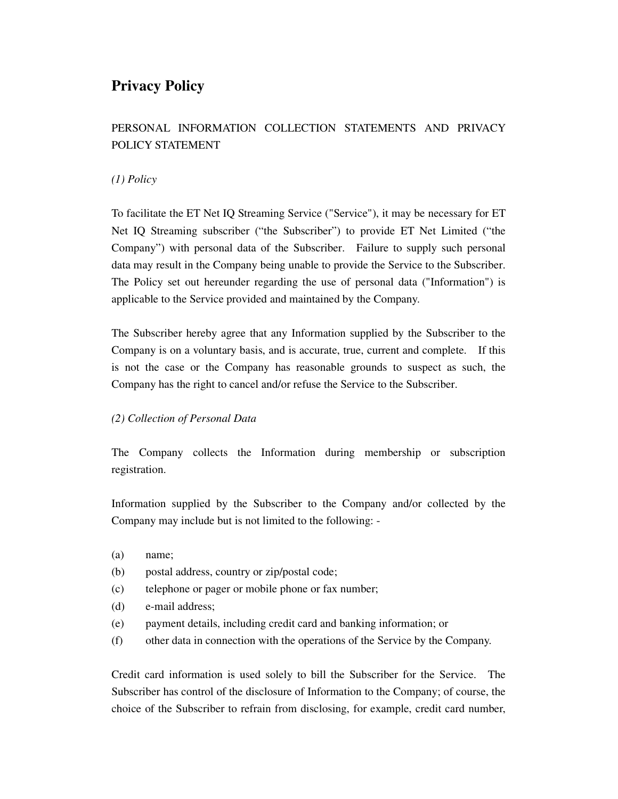# **Privacy Policy**

# PERSONAL INFORMATION COLLECTION STATEMENTS AND PRIVACY POLICY STATEMENT

# *(1) Policy*

To facilitate the ET Net IQ Streaming Service ("Service"), it may be necessary for ET Net IQ Streaming subscriber ("the Subscriber") to provide ET Net Limited ("the Company") with personal data of the Subscriber. Failure to supply such personal data may result in the Company being unable to provide the Service to the Subscriber. The Policy set out hereunder regarding the use of personal data ("Information") is applicable to the Service provided and maintained by the Company.

The Subscriber hereby agree that any Information supplied by the Subscriber to the Company is on a voluntary basis, and is accurate, true, current and complete. If this is not the case or the Company has reasonable grounds to suspect as such, the Company has the right to cancel and/or refuse the Service to the Subscriber.

# *(2) Collection of Personal Data*

The Company collects the Information during membership or subscription registration.

Information supplied by the Subscriber to the Company and/or collected by the Company may include but is not limited to the following: -

- (a) name;
- (b) postal address, country or zip/postal code;
- (c) telephone or pager or mobile phone or fax number;
- (d) e-mail address;
- (e) payment details, including credit card and banking information; or
- (f) other data in connection with the operations of the Service by the Company.

Credit card information is used solely to bill the Subscriber for the Service. The Subscriber has control of the disclosure of Information to the Company; of course, the choice of the Subscriber to refrain from disclosing, for example, credit card number,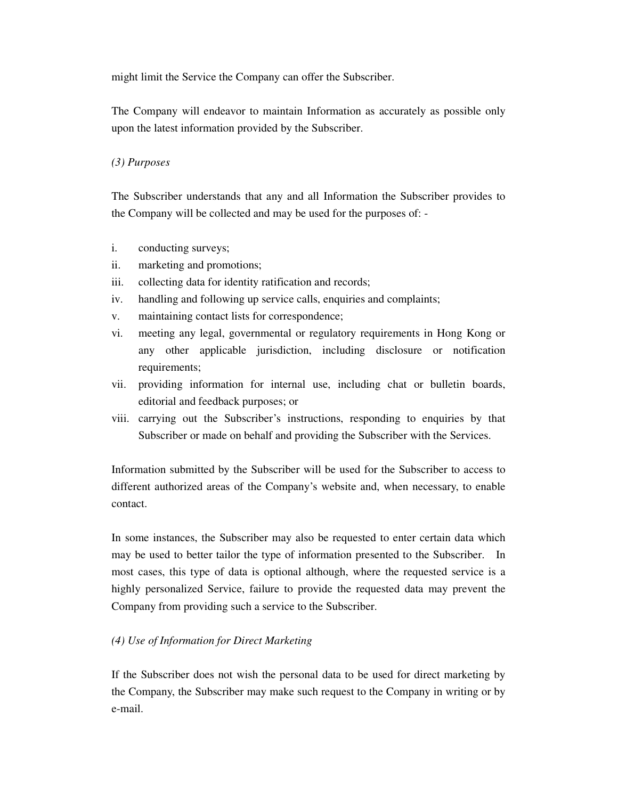might limit the Service the Company can offer the Subscriber.

The Company will endeavor to maintain Information as accurately as possible only upon the latest information provided by the Subscriber.

### *(3) Purposes*

The Subscriber understands that any and all Information the Subscriber provides to the Company will be collected and may be used for the purposes of: -

- i. conducting surveys;
- ii. marketing and promotions;
- iii. collecting data for identity ratification and records;
- iv. handling and following up service calls, enquiries and complaints;
- v. maintaining contact lists for correspondence;
- vi. meeting any legal, governmental or regulatory requirements in Hong Kong or any other applicable jurisdiction, including disclosure or notification requirements;
- vii. providing information for internal use, including chat or bulletin boards, editorial and feedback purposes; or
- viii. carrying out the Subscriber's instructions, responding to enquiries by that Subscriber or made on behalf and providing the Subscriber with the Services.

Information submitted by the Subscriber will be used for the Subscriber to access to different authorized areas of the Company's website and, when necessary, to enable contact.

In some instances, the Subscriber may also be requested to enter certain data which may be used to better tailor the type of information presented to the Subscriber. In most cases, this type of data is optional although, where the requested service is a highly personalized Service, failure to provide the requested data may prevent the Company from providing such a service to the Subscriber.

# *(4) Use of Information for Direct Marketing*

If the Subscriber does not wish the personal data to be used for direct marketing by the Company, the Subscriber may make such request to the Company in writing or by e-mail.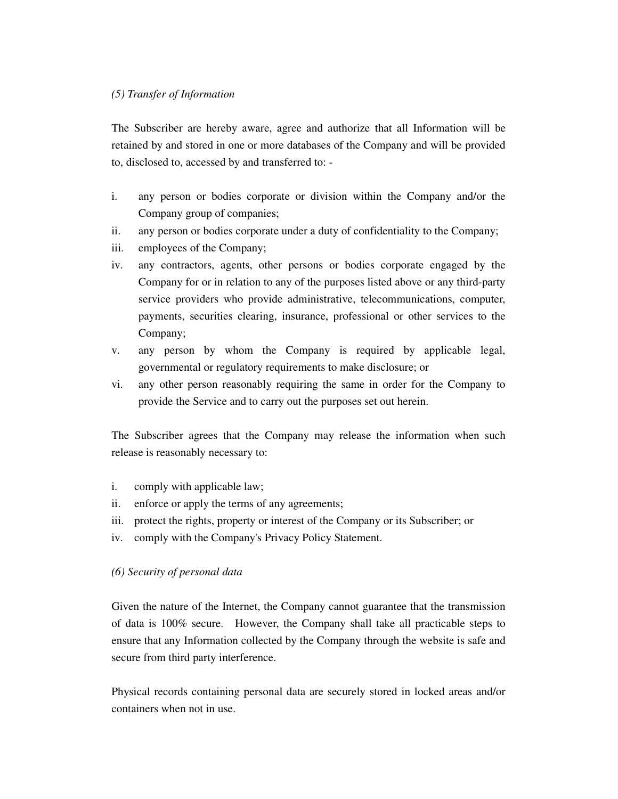#### *(5) Transfer of Information*

The Subscriber are hereby aware, agree and authorize that all Information will be retained by and stored in one or more databases of the Company and will be provided to, disclosed to, accessed by and transferred to: -

- i. any person or bodies corporate or division within the Company and/or the Company group of companies;
- ii. any person or bodies corporate under a duty of confidentiality to the Company;
- iii. employees of the Company;
- iv. any contractors, agents, other persons or bodies corporate engaged by the Company for or in relation to any of the purposes listed above or any third-party service providers who provide administrative, telecommunications, computer, payments, securities clearing, insurance, professional or other services to the Company;
- v. any person by whom the Company is required by applicable legal, governmental or regulatory requirements to make disclosure; or
- vi. any other person reasonably requiring the same in order for the Company to provide the Service and to carry out the purposes set out herein.

The Subscriber agrees that the Company may release the information when such release is reasonably necessary to:

- i. comply with applicable law;
- ii. enforce or apply the terms of any agreements;
- iii. protect the rights, property or interest of the Company or its Subscriber; or
- iv. comply with the Company's Privacy Policy Statement.

#### *(6) Security of personal data*

Given the nature of the Internet, the Company cannot guarantee that the transmission of data is 100% secure. However, the Company shall take all practicable steps to ensure that any Information collected by the Company through the website is safe and secure from third party interference.

Physical records containing personal data are securely stored in locked areas and/or containers when not in use.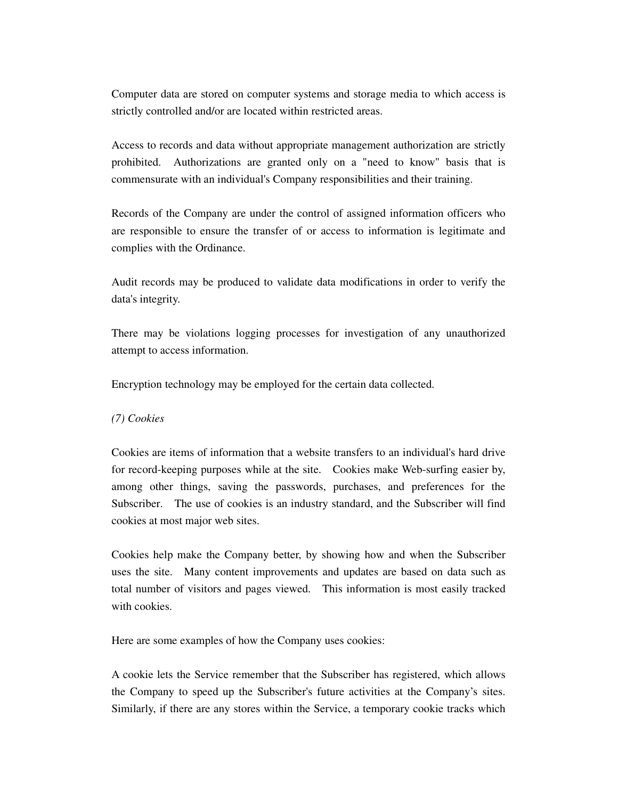Computer data are stored on computer systems and storage media to which access is strictly controlled and/or are located within restricted areas.

Access to records and data without appropriate management authorization are strictly prohibited. Authorizations are granted only on a "need to know" basis that is commensurate with an individual's Company responsibilities and their training.

Records of the Company are under the control of assigned information officers who are responsible to ensure the transfer of or access to information is legitimate and complies with the Ordinance.

Audit records may be produced to validate data modifications in order to verify the data's integrity.

There may be violations logging processes for investigation of any unauthorized attempt to access information.

Encryption technology may be employed for the certain data collected.

#### *(7) Cookies*

Cookies are items of information that a website transfers to an individual's hard drive for record-keeping purposes while at the site. Cookies make Web-surfing easier by, among other things, saving the passwords, purchases, and preferences for the Subscriber. The use of cookies is an industry standard, and the Subscriber will find cookies at most major web sites.

Cookies help make the Company better, by showing how and when the Subscriber uses the site. Many content improvements and updates are based on data such as total number of visitors and pages viewed. This information is most easily tracked with cookies.

Here are some examples of how the Company uses cookies:

A cookie lets the Service remember that the Subscriber has registered, which allows the Company to speed up the Subscriber's future activities at the Company's sites. Similarly, if there are any stores within the Service, a temporary cookie tracks which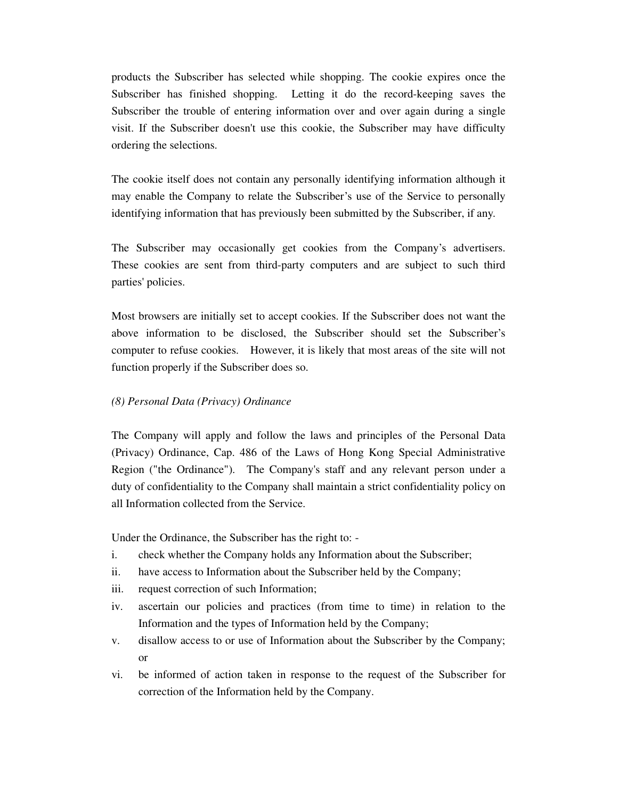products the Subscriber has selected while shopping. The cookie expires once the Subscriber has finished shopping. Letting it do the record-keeping saves the Subscriber the trouble of entering information over and over again during a single visit. If the Subscriber doesn't use this cookie, the Subscriber may have difficulty ordering the selections.

The cookie itself does not contain any personally identifying information although it may enable the Company to relate the Subscriber's use of the Service to personally identifying information that has previously been submitted by the Subscriber, if any.

The Subscriber may occasionally get cookies from the Company's advertisers. These cookies are sent from third-party computers and are subject to such third parties' policies.

Most browsers are initially set to accept cookies. If the Subscriber does not want the above information to be disclosed, the Subscriber should set the Subscriber's computer to refuse cookies. However, it is likely that most areas of the site will not function properly if the Subscriber does so.

#### *(8) Personal Data (Privacy) Ordinance*

The Company will apply and follow the laws and principles of the Personal Data (Privacy) Ordinance, Cap. 486 of the Laws of Hong Kong Special Administrative Region ("the Ordinance"). The Company's staff and any relevant person under a duty of confidentiality to the Company shall maintain a strict confidentiality policy on all Information collected from the Service.

Under the Ordinance, the Subscriber has the right to: -

- i. check whether the Company holds any Information about the Subscriber;
- ii. have access to Information about the Subscriber held by the Company;
- iii. request correction of such Information;
- iv. ascertain our policies and practices (from time to time) in relation to the Information and the types of Information held by the Company;
- v. disallow access to or use of Information about the Subscriber by the Company; or
- vi. be informed of action taken in response to the request of the Subscriber for correction of the Information held by the Company.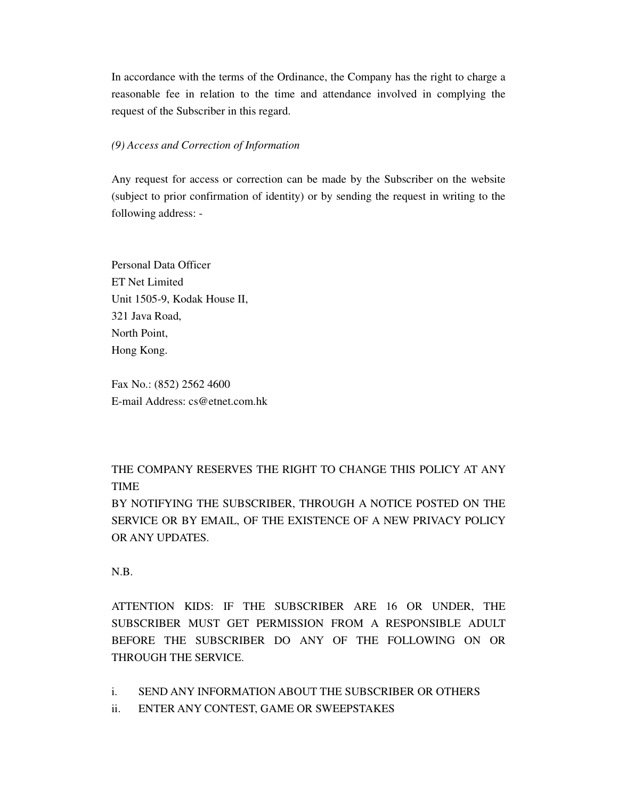In accordance with the terms of the Ordinance, the Company has the right to charge a reasonable fee in relation to the time and attendance involved in complying the request of the Subscriber in this regard.

#### *(9) Access and Correction of Information*

Any request for access or correction can be made by the Subscriber on the website (subject to prior confirmation of identity) or by sending the request in writing to the following address: -

Personal Data Officer ET Net Limited Unit 1505-9, Kodak House II, 321 Java Road, North Point, Hong Kong.

Fax No.: (852) 2562 4600 E-mail Address: cs@etnet.com.hk

THE COMPANY RESERVES THE RIGHT TO CHANGE THIS POLICY AT ANY TIME

BY NOTIFYING THE SUBSCRIBER, THROUGH A NOTICE POSTED ON THE SERVICE OR BY EMAIL, OF THE EXISTENCE OF A NEW PRIVACY POLICY OR ANY UPDATES.

N.B.

ATTENTION KIDS: IF THE SUBSCRIBER ARE 16 OR UNDER, THE SUBSCRIBER MUST GET PERMISSION FROM A RESPONSIBLE ADULT BEFORE THE SUBSCRIBER DO ANY OF THE FOLLOWING ON OR THROUGH THE SERVICE.

- i. SEND ANY INFORMATION ABOUT THE SUBSCRIBER OR OTHERS
- ii. ENTER ANY CONTEST, GAME OR SWEEPSTAKES